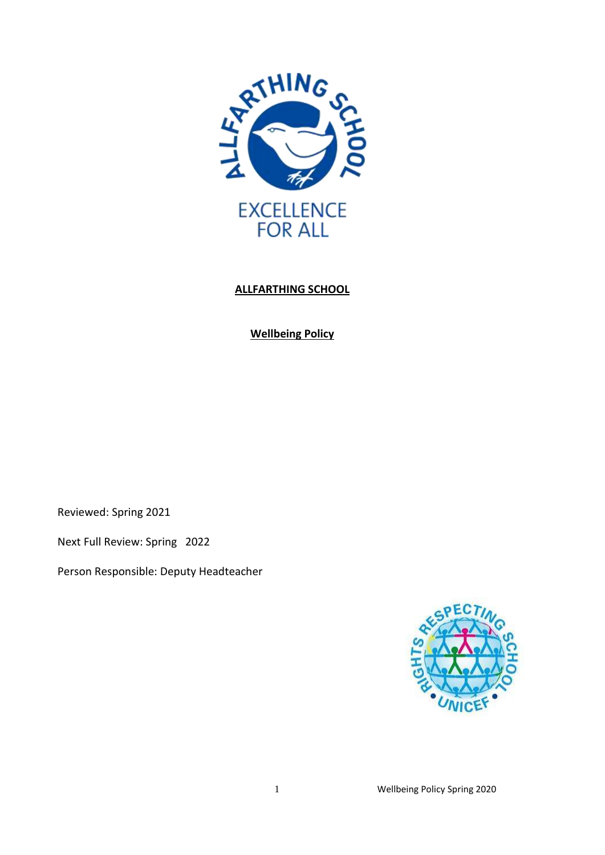

# **ALLFARTHING SCHOOL**

**Wellbeing Policy**

Reviewed: Spring 2021

Next Full Review: Spring 2022

Person Responsible: Deputy Headteacher

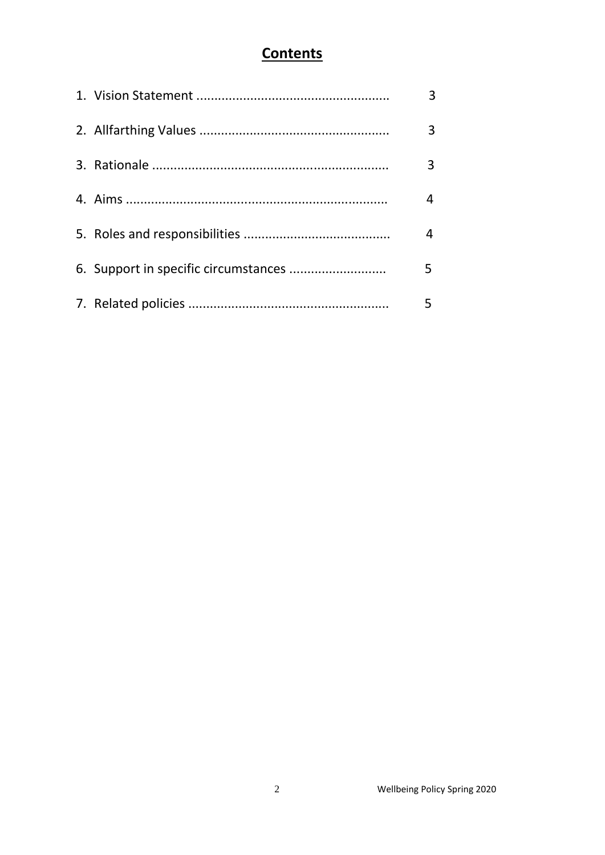# **Contents**

|  | 4 |
|--|---|
|  |   |
|  |   |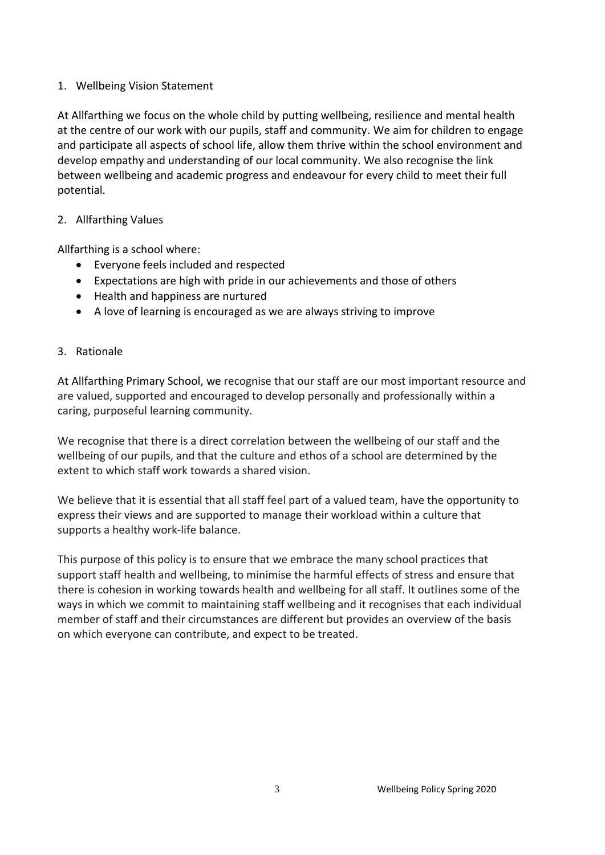## 1. Wellbeing Vision Statement

At Allfarthing we focus on the whole child by putting wellbeing, resilience and mental health at the centre of our work with our pupils, staff and community. We aim for children to engage and participate all aspects of school life, allow them thrive within the school environment and develop empathy and understanding of our local community. We also recognise the link between wellbeing and academic progress and endeavour for every child to meet their full potential.

#### 2. Allfarthing Values

Allfarthing is a school where:

- Everyone feels included and respected
- Expectations are high with pride in our achievements and those of others
- Health and happiness are nurtured
- A love of learning is encouraged as we are always striving to improve

#### 3. Rationale

At Allfarthing Primary School, we recognise that our staff are our most important resource and are valued, supported and encouraged to develop personally and professionally within a caring, purposeful learning community.

We recognise that there is a direct correlation between the wellbeing of our staff and the wellbeing of our pupils, and that the culture and ethos of a school are determined by the extent to which staff work towards a shared vision.

We believe that it is essential that all staff feel part of a valued team, have the opportunity to express their views and are supported to manage their workload within a culture that supports a healthy work-life balance.

This purpose of this policy is to ensure that we embrace the many school practices that support staff health and wellbeing, to minimise the harmful effects of stress and ensure that there is cohesion in working towards health and wellbeing for all staff. It outlines some of the ways in which we commit to maintaining staff wellbeing and it recognises that each individual member of staff and their circumstances are different but provides an overview of the basis on which everyone can contribute, and expect to be treated.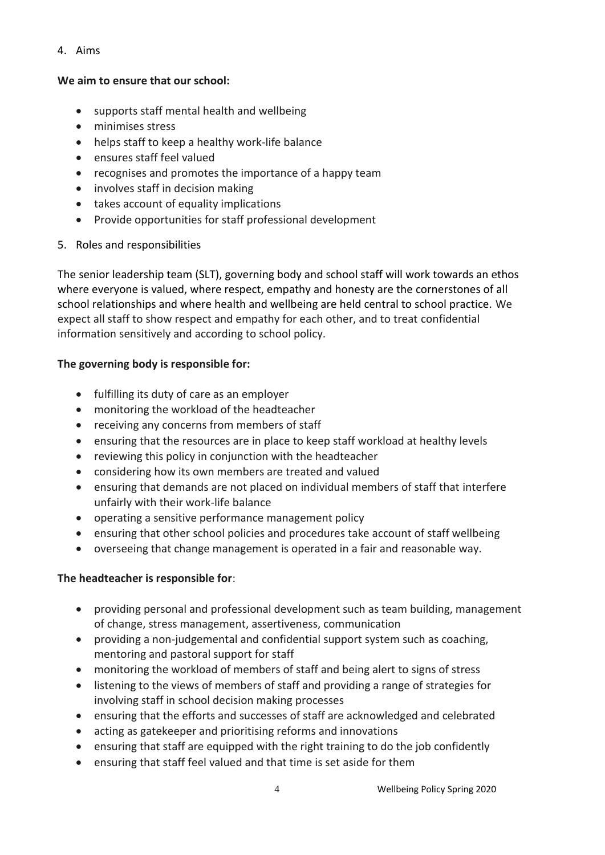4. Aims

#### **We aim to ensure that our school:**

- supports staff mental health and wellbeing
- minimises stress
- helps staff to keep a healthy work-life balance
- ensures staff feel valued
- recognises and promotes the importance of a happy team
- involves staff in decision making
- takes account of equality implications
- Provide opportunities for staff professional development
- 5. Roles and responsibilities

The senior leadership team (SLT), governing body and school staff will work towards an ethos where everyone is valued, where respect, empathy and honesty are the cornerstones of all school relationships and where health and wellbeing are held central to school practice. We expect all staff to show respect and empathy for each other, and to treat confidential information sensitively and according to school policy.

## **The governing body is responsible for:**

- fulfilling its duty of care as an employer
- monitoring the workload of the headteacher
- receiving any concerns from members of staff
- ensuring that the resources are in place to keep staff workload at healthy levels
- reviewing this policy in conjunction with the headteacher
- considering how its own members are treated and valued
- ensuring that demands are not placed on individual members of staff that interfere unfairly with their work-life balance
- operating a sensitive performance management policy
- ensuring that other school policies and procedures take account of staff wellbeing
- overseeing that change management is operated in a fair and reasonable way.

## **The headteacher is responsible for**:

- providing personal and professional development such as team building, management of change, stress management, assertiveness, communication
- providing a non-judgemental and confidential support system such as coaching, mentoring and pastoral support for staff
- monitoring the workload of members of staff and being alert to signs of stress
- listening to the views of members of staff and providing a range of strategies for involving staff in school decision making processes
- ensuring that the efforts and successes of staff are acknowledged and celebrated
- acting as gatekeeper and prioritising reforms and innovations
- ensuring that staff are equipped with the right training to do the job confidently
- ensuring that staff feel valued and that time is set aside for them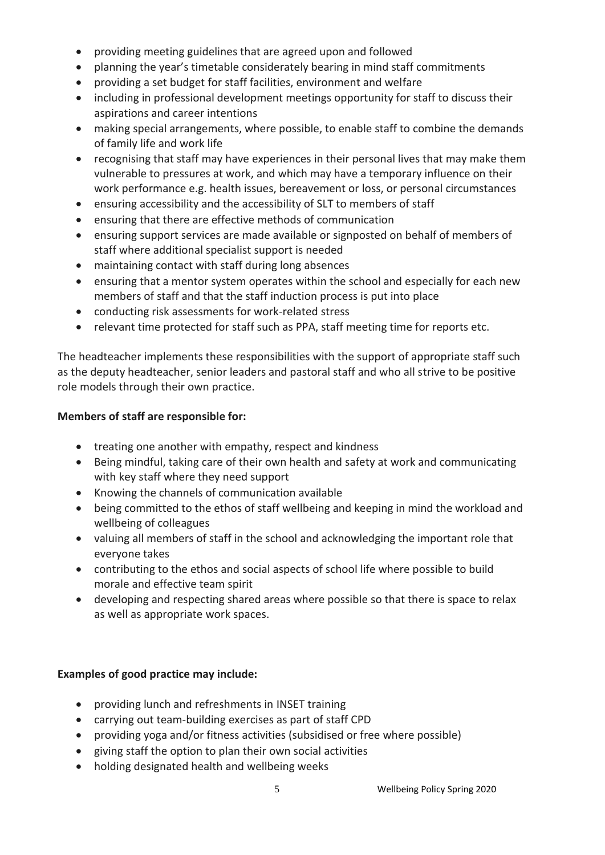- providing meeting guidelines that are agreed upon and followed
- planning the year's timetable considerately bearing in mind staff commitments
- providing a set budget for staff facilities, environment and welfare
- including in professional development meetings opportunity for staff to discuss their aspirations and career intentions
- making special arrangements, where possible, to enable staff to combine the demands of family life and work life
- recognising that staff may have experiences in their personal lives that may make them vulnerable to pressures at work, and which may have a temporary influence on their work performance e.g. health issues, bereavement or loss, or personal circumstances
- ensuring accessibility and the accessibility of SLT to members of staff
- ensuring that there are effective methods of communication
- ensuring support services are made available or signposted on behalf of members of staff where additional specialist support is needed
- maintaining contact with staff during long absences
- ensuring that a mentor system operates within the school and especially for each new members of staff and that the staff induction process is put into place
- conducting risk assessments for work-related stress
- relevant time protected for staff such as PPA, staff meeting time for reports etc.

The headteacher implements these responsibilities with the support of appropriate staff such as the deputy headteacher, senior leaders and pastoral staff and who all strive to be positive role models through their own practice.

## **Members of staff are responsible for:**

- treating one another with empathy, respect and kindness
- Being mindful, taking care of their own health and safety at work and communicating with key staff where they need support
- Knowing the channels of communication available
- being committed to the ethos of staff wellbeing and keeping in mind the workload and wellbeing of colleagues
- valuing all members of staff in the school and acknowledging the important role that everyone takes
- contributing to the ethos and social aspects of school life where possible to build morale and effective team spirit
- developing and respecting shared areas where possible so that there is space to relax as well as appropriate work spaces.

## **Examples of good practice may include:**

- providing lunch and refreshments in INSET training
- carrying out team-building exercises as part of staff CPD
- providing yoga and/or fitness activities (subsidised or free where possible)
- giving staff the option to plan their own social activities
- holding designated health and wellbeing weeks